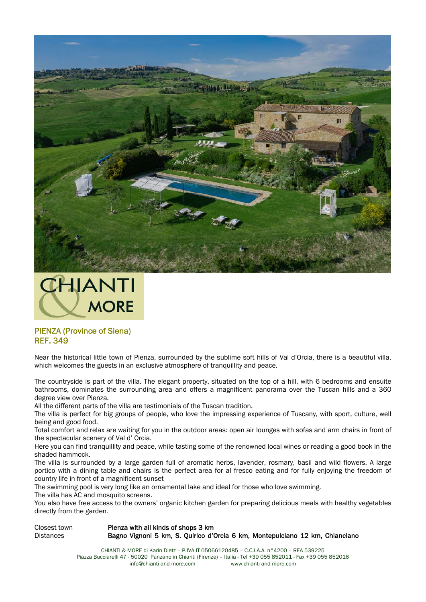



## PIENZA (Province of Siena) REF. 349

Near the historical little town of Pienza, surrounded by the sublime soft hills of Val d'Orcia, there is a beautiful villa, which welcomes the guests in an exclusive atmosphere of tranquillity and peace.

The countryside is part of the villa. The elegant property, situated on the top of a hill, with 6 bedrooms and ensuite bathrooms, dominates the surrounding area and offers a magnificent panorama over the Tuscan hills and a 360 degree view over Pienza.

All the different parts of the villa are testimonials of the Tuscan tradition.

The villa is perfect for big groups of people, who love the impressing experience of Tuscany, with sport, culture, well being and good food.

Total comfort and relax are waiting for you in the outdoor areas: open air lounges with sofas and arm chairs in front of the spectacular scenery of Val d' Orcia.

Here you can find tranquillity and peace, while tasting some of the renowned local wines or reading a good book in the shaded hammock.

The villa is surrounded by a large garden full of aromatic herbs, lavender, rosmary, basil and wild flowers. A large portico with a dining table and chairs is the perfect area for al fresco eating and for fully enjoying the freedom of country life in front of a magnificent sunset

The swimming pool is very long like an ornamental lake and ideal for those who love swimming.

The villa has AC and mosquito screens.

You also have free access to the owners' organic kitchen garden for preparing delicious meals with healthy vegetables directly from the garden.

Closest town Pienza with all kinds of shops 3 km Distances Bagno Vignoni 5 km, S. Quirico d'Orcia 6 km, Montepulciano 12 km, Chianciano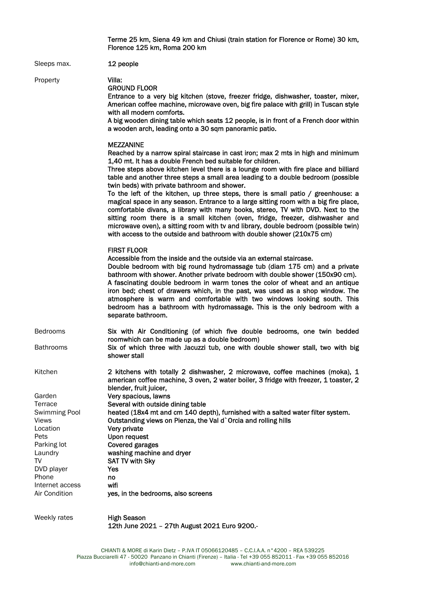|                                                                                                         | Terme 25 km, Siena 49 km and Chiusi (train station for Florence or Rome) 30 km,<br>Florence 125 km, Roma 200 km                                                                                                                                                                                                                                                                                                                                                                                                                                                                                                                                                                                                                                                                                                                                                                                               |
|---------------------------------------------------------------------------------------------------------|---------------------------------------------------------------------------------------------------------------------------------------------------------------------------------------------------------------------------------------------------------------------------------------------------------------------------------------------------------------------------------------------------------------------------------------------------------------------------------------------------------------------------------------------------------------------------------------------------------------------------------------------------------------------------------------------------------------------------------------------------------------------------------------------------------------------------------------------------------------------------------------------------------------|
| Sleeps max.                                                                                             | 12 people                                                                                                                                                                                                                                                                                                                                                                                                                                                                                                                                                                                                                                                                                                                                                                                                                                                                                                     |
| Property                                                                                                | Villa:<br><b>GROUND FLOOR</b><br>Entrance to a very big kitchen (stove, freezer fridge, dishwasher, toaster, mixer,<br>American coffee machine, microwave oven, big fire palace with grill) in Tuscan style<br>with all modern comforts.<br>A big wooden dining table which seats 12 people, is in front of a French door within<br>a wooden arch, leading onto a 30 sqm panoramic patio.                                                                                                                                                                                                                                                                                                                                                                                                                                                                                                                     |
|                                                                                                         | <b>MEZZANINE</b><br>Reached by a narrow spiral staircase in cast iron; max 2 mts in high and minimum<br>1,40 mt. It has a double French bed suitable for children.<br>Three steps above kitchen level there is a lounge room with fire place and billiard<br>table and another three steps a small area leading to a double bedroom (possible<br>twin beds) with private bathroom and shower.<br>To the left of the kitchen, up three steps, there is small patio / greenhouse: a<br>magical space in any season. Entrance to a large sitting room with a big fire place,<br>comfortable divans, a library with many books, stereo, TV with DVD. Next to the<br>sitting room there is a small kitchen (oven, fridge, freezer, dishwasher and<br>microwave oven), a sitting room with tv and library, double bedroom (possible twin)<br>with access to the outside and bathroom with double shower (210x75 cm) |
|                                                                                                         | <b>FIRST FLOOR</b><br>Accessible from the inside and the outside via an external staircase.<br>Double bedroom with big round hydromassage tub (diam 175 cm) and a private<br>bathroom with shower. Another private bedroom with double shower (150x90 cm).<br>A fascinating double bedroom in warm tones the color of wheat and an antique<br>iron bed; chest of drawers which, in the past, was used as a shop window. The<br>atmosphere is warm and comfortable with two windows looking south. This<br>bedroom has a bathroom with hydromassage. This is the only bedroom with a<br>separate bathroom.                                                                                                                                                                                                                                                                                                     |
| <b>Bedrooms</b><br><b>Bathrooms</b>                                                                     | Six with Air Conditioning (of which five double bedrooms, one twin bedded<br>roomwhich can be made up as a double bedroom)<br>Six of which three with Jacuzzi tub, one with double shower stall, two with big<br>shower stall                                                                                                                                                                                                                                                                                                                                                                                                                                                                                                                                                                                                                                                                                 |
| Kitchen                                                                                                 | 2 kitchens with totally 2 dishwasher, 2 microwave, coffee machines (moka), 1<br>american coffee machine, 3 oven, 2 water boiler, 3 fridge with freezer, 1 toaster, 2<br>blender, fruit juicer,                                                                                                                                                                                                                                                                                                                                                                                                                                                                                                                                                                                                                                                                                                                |
| Garden<br>Terrace<br><b>Swimming Pool</b><br><b>Views</b><br>Location<br>Pets<br>Parking lot<br>Laundry | Very spacious, lawns<br>Several with outside dining table<br>heated (18x4 mt and cm 140 depth), furnished with a salted water filter system.<br>Outstanding views on Pienza, the Val d`Orcia and rolling hills<br>Very private<br>Upon request<br><b>Covered garages</b><br>washing machine and dryer                                                                                                                                                                                                                                                                                                                                                                                                                                                                                                                                                                                                         |
| TV<br>DVD player<br>Phone<br>Internet access<br>Air Condition                                           | <b>SAT TV with Sky</b><br>Yes<br>no<br>wifi<br>yes, in the bedrooms, also screens                                                                                                                                                                                                                                                                                                                                                                                                                                                                                                                                                                                                                                                                                                                                                                                                                             |
| Weekly rates                                                                                            | <b>High Season</b>                                                                                                                                                                                                                                                                                                                                                                                                                                                                                                                                                                                                                                                                                                                                                                                                                                                                                            |

12th June 2021 – 27th August 2021 Euro 9200.-

info@chianti-and-more.com www.chianti-and-more.com